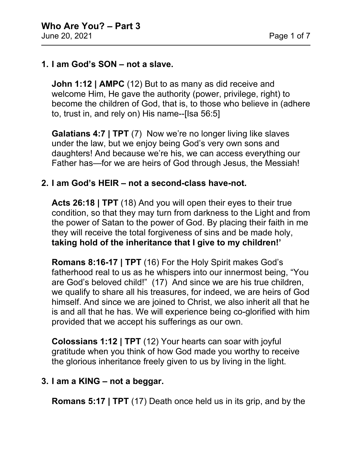### **1. I am God's SON – not a slave.**

**John 1:12 | AMPC** (12) But to as many as did receive and welcome Him, He gave the authority (power, privilege, right) to become the children of God, that is, to those who believe in (adhere to, trust in, and rely on) His name--[Isa 56:5]

**Galatians 4:7 | TPT** (7) Now we're no longer living like slaves under the law, but we enjoy being God's very own sons and daughters! And because we're his, we can access everything our Father has—for we are heirs of God through Jesus, the Messiah!

#### **2. I am God's HEIR – not a second-class have-not.**

**Acts 26:18 | TPT** (18) And you will open their eyes to their true condition, so that they may turn from darkness to the Light and from the power of Satan to the power of God. By placing their faith in me they will receive the total forgiveness of sins and be made holy, **taking hold of the inheritance that I give to my children!'**

**Romans 8:16-17 | TPT** (16) For the Holy Spirit makes God's fatherhood real to us as he whispers into our innermost being, "You are God's beloved child!" (17) And since we are his true children, we qualify to share all his treasures, for indeed, we are heirs of God himself. And since we are joined to Christ, we also inherit all that he is and all that he has. We will experience being co-glorified with him provided that we accept his sufferings as our own.

**Colossians 1:12 | TPT** (12) Your hearts can soar with joyful gratitude when you think of how God made you worthy to receive the glorious inheritance freely given to us by living in the light.

### **3. I am a KING – not a beggar.**

**Romans 5:17 | TPT** (17) Death once held us in its grip, and by the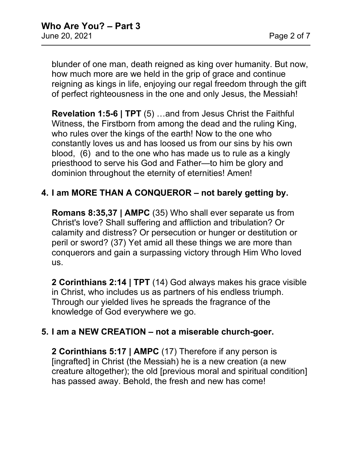blunder of one man, death reigned as king over humanity. But now, how much more are we held in the grip of grace and continue reigning as kings in life, enjoying our regal freedom through the gift of perfect righteousness in the one and only Jesus, the Messiah!

**Revelation 1:5-6 | TPT** (5) …and from Jesus Christ the Faithful Witness, the Firstborn from among the dead and the ruling King, who rules over the kings of the earth! Now to the one who constantly loves us and has loosed us from our sins by his own blood, (6) and to the one who has made us to rule as a kingly priesthood to serve his God and Father—to him be glory and dominion throughout the eternity of eternities! Amen!

# **4. I am MORE THAN A CONQUEROR – not barely getting by.**

**Romans 8:35,37 | AMPC** (35) Who shall ever separate us from Christ's love? Shall suffering and affliction and tribulation? Or calamity and distress? Or persecution or hunger or destitution or peril or sword? (37) Yet amid all these things we are more than conquerors and gain a surpassing victory through Him Who loved us.

**2 Corinthians 2:14 | TPT** (14) God always makes his grace visible in Christ, who includes us as partners of his endless triumph. Through our yielded lives he spreads the fragrance of the knowledge of God everywhere we go.

## **5. I am a NEW CREATION – not a miserable church-goer.**

**2 Corinthians 5:17 | AMPC** (17) Therefore if any person is [ingrafted] in Christ (the Messiah) he is a new creation (a new creature altogether); the old [previous moral and spiritual condition] has passed away. Behold, the fresh and new has come!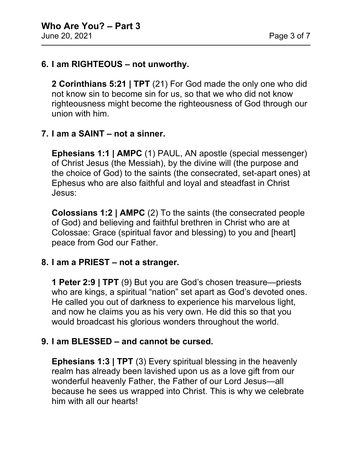## **6. I am RIGHTEOUS – not unworthy.**

**2 Corinthians 5:21 | TPT** (21) For God made the only one who did not know sin to become sin for us, so that we who did not know righteousness might become the righteousness of God through our union with him.

# **7. I am a SAINT – not a sinner.**

**Ephesians 1:1 | AMPC** (1) PAUL, AN apostle (special messenger) of Christ Jesus (the Messiah), by the divine will (the purpose and the choice of God) to the saints (the consecrated, set-apart ones) at Ephesus who are also faithful and loyal and steadfast in Christ Jesus:

**Colossians 1:2 | AMPC** (2) To the saints (the consecrated people of God) and believing and faithful brethren in Christ who are at Colossae: Grace (spiritual favor and blessing) to you and [heart] peace from God our Father.

## **8. I am a PRIEST – not a stranger.**

**1 Peter 2:9 | TPT** (9) But you are God's chosen treasure—priests who are kings, a spiritual "nation" set apart as God's devoted ones. He called you out of darkness to experience his marvelous light, and now he claims you as his very own. He did this so that you would broadcast his glorious wonders throughout the world.

## **9. I am BLESSED – and cannot be cursed.**

**Ephesians 1:3 | TPT** (3) Every spiritual blessing in the heavenly realm has already been lavished upon us as a love gift from our wonderful heavenly Father, the Father of our Lord Jesus—all because he sees us wrapped into Christ. This is why we celebrate him with all our hearts!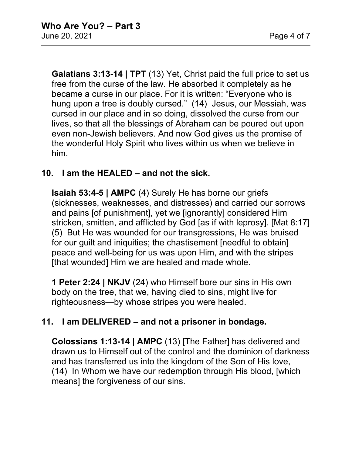**Galatians 3:13-14 | TPT** (13) Yet, Christ paid the full price to set us free from the curse of the law. He absorbed it completely as he became a curse in our place. For it is written: "Everyone who is hung upon a tree is doubly cursed." (14) Jesus, our Messiah, was cursed in our place and in so doing, dissolved the curse from our lives, so that all the blessings of Abraham can be poured out upon even non-Jewish believers. And now God gives us the promise of the wonderful Holy Spirit who lives within us when we believe in him.

# **10. I am the HEALED – and not the sick.**

**Isaiah 53:4-5 | AMPC** (4) Surely He has borne our griefs (sicknesses, weaknesses, and distresses) and carried our sorrows and pains [of punishment], yet we [ignorantly] considered Him stricken, smitten, and afflicted by God [as if with leprosy]. [Mat 8:17] (5) But He was wounded for our transgressions, He was bruised for our guilt and iniquities; the chastisement [needful to obtain] peace and well-being for us was upon Him, and with the stripes [that wounded] Him we are healed and made whole.

**1 Peter 2:24 | NKJV** (24) who Himself bore our sins in His own body on the tree, that we, having died to sins, might live for righteousness—by whose stripes you were healed.

# **11. I am DELIVERED – and not a prisoner in bondage.**

**Colossians 1:13-14 | AMPC** (13) [The Father] has delivered and drawn us to Himself out of the control and the dominion of darkness and has transferred us into the kingdom of the Son of His love, (14) In Whom we have our redemption through His blood, [which means] the forgiveness of our sins.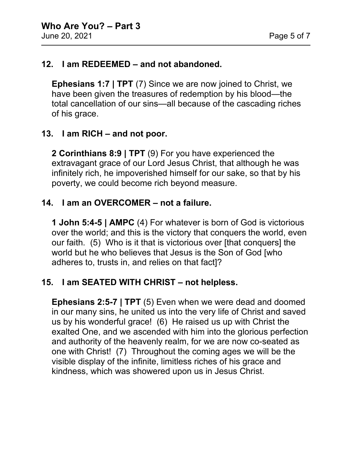## **12. I am REDEEMED – and not abandoned.**

**Ephesians 1:7 | TPT** (7) Since we are now joined to Christ, we have been given the treasures of redemption by his blood—the total cancellation of our sins—all because of the cascading riches of his grace.

## **13. I am RICH – and not poor.**

**2 Corinthians 8:9 | TPT** (9) For you have experienced the extravagant grace of our Lord Jesus Christ, that although he was infinitely rich, he impoverished himself for our sake, so that by his poverty, we could become rich beyond measure.

## **14. I am an OVERCOMER – not a failure.**

**1 John 5:4-5 | AMPC** (4) For whatever is born of God is victorious over the world; and this is the victory that conquers the world, even our faith. (5) Who is it that is victorious over [that conquers] the world but he who believes that Jesus is the Son of God [who adheres to, trusts in, and relies on that fact]?

## **15. I am SEATED WITH CHRIST – not helpless.**

**Ephesians 2:5-7 | TPT** (5) Even when we were dead and doomed in our many sins, he united us into the very life of Christ and saved us by his wonderful grace! (6) He raised us up with Christ the exalted One, and we ascended with him into the glorious perfection and authority of the heavenly realm, for we are now co-seated as one with Christ! (7) Throughout the coming ages we will be the visible display of the infinite, limitless riches of his grace and kindness, which was showered upon us in Jesus Christ.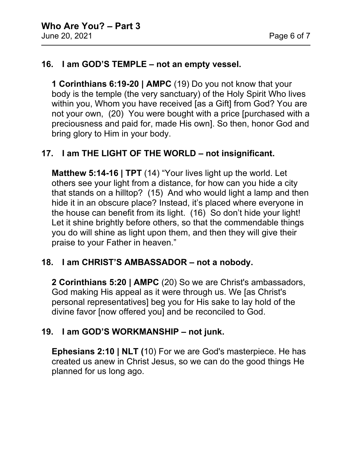## **16. I am GOD'S TEMPLE – not an empty vessel.**

**1 Corinthians 6:19-20 | AMPC** (19) Do you not know that your body is the temple (the very sanctuary) of the Holy Spirit Who lives within you, Whom you have received [as a Gift] from God? You are not your own, (20) You were bought with a price [purchased with a preciousness and paid for, made His own]. So then, honor God and bring glory to Him in your body.

## **17. I am THE LIGHT OF THE WORLD – not insignificant.**

**Matthew 5:14-16 | TPT** (14) "Your lives light up the world. Let others see your light from a distance, for how can you hide a city that stands on a hilltop? (15) And who would light a lamp and then hide it in an obscure place? Instead, it's placed where everyone in the house can benefit from its light. (16) So don't hide your light! Let it shine brightly before others, so that the commendable things you do will shine as light upon them, and then they will give their praise to your Father in heaven."

### **18. I am CHRIST'S AMBASSADOR – not a nobody.**

**2 Corinthians 5:20 | AMPC** (20) So we are Christ's ambassadors, God making His appeal as it were through us. We [as Christ's personal representatives] beg you for His sake to lay hold of the divine favor [now offered you] and be reconciled to God.

## **19. I am GOD'S WORKMANSHIP – not junk.**

**Ephesians 2:10 | NLT (**10) For we are God's masterpiece. He has created us anew in Christ Jesus, so we can do the good things He planned for us long ago.